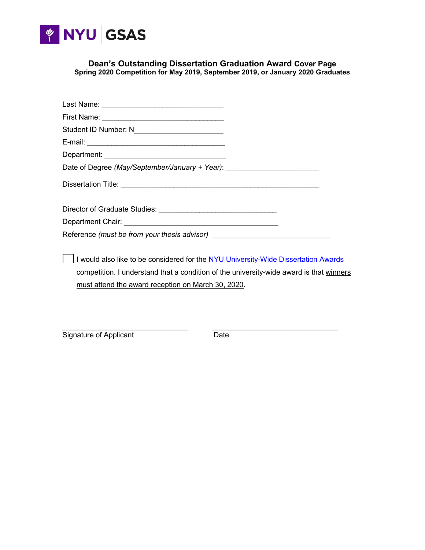

**Dean's Outstanding Dissertation Graduation Award Cover Page Spring 2020 Competition for May 2019, September 2019, or January 2020 Graduates**

| Last Name: ___________________________________                                          |
|-----------------------------------------------------------------------------------------|
|                                                                                         |
| Student ID Number: N__________________________                                          |
|                                                                                         |
|                                                                                         |
| Date of Degree (May/September/January + Year): _________________________________        |
|                                                                                         |
|                                                                                         |
|                                                                                         |
| Reference (must be from your thesis advisor) ___________________________________        |
| I would also like to be considered for the NYU University-Wide Dissertation Awards      |
| competition. I understand that a condition of the university-wide award is that winners |
| must attend the award reception on March 30, 2020.                                      |

\_\_\_\_\_\_\_\_\_\_\_\_\_\_\_\_\_\_\_\_\_\_\_\_\_\_\_\_\_\_\_ \_\_\_\_\_\_\_\_\_\_\_\_\_\_\_\_\_\_\_\_\_\_\_\_\_\_\_\_\_\_\_ Signature of Applicant Date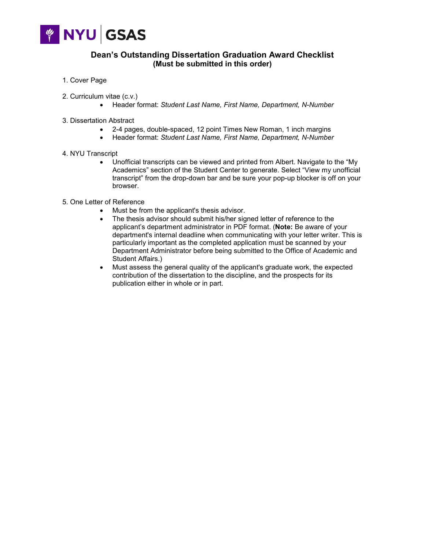

## **Dean's Outstanding Dissertation Graduation Award Checklist (Must be submitted in this order)**

- 1. Cover Page
- 2. Curriculum vitae (c.v.)
	- Header format: *Student Last Name, First Name, Department, N-Number*
- 3. Dissertation Abstract
	- 2-4 pages, double-spaced, 12 point Times New Roman, 1 inch margins
	- Header format: *Student Last Name, First Name, Department, N-Number*
- 4. NYU Transcript
	- Unofficial transcripts can be viewed and printed from Albert. Navigate to the "My Academics" section of the Student Center to generate. Select "View my unofficial transcript" from the drop-down bar and be sure your pop-up blocker is off on your browser.
- 5. One Letter of Reference
	- Must be from the applicant's thesis advisor.
	- The thesis advisor should submit his/her signed letter of reference to the applicant's department administrator in PDF format. (**Note:** Be aware of your department's internal deadline when communicating with your letter writer. This is particularly important as the completed application must be scanned by your Department Administrator before being submitted to the Office of Academic and Student Affairs.)
	- Must assess the general quality of the applicant's graduate work, the expected contribution of the dissertation to the discipline, and the prospects for its publication either in whole or in part.